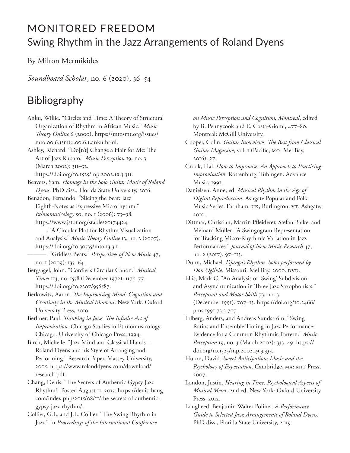## MONITORED FREEDOM Swing Rhythm in the Jazz Arrangements of Roland Dyens

By Milton Mermikides

*Soundboard Scholar*, no. 6 (2020), 36–54

## Bibliography

Anku, Willie. "Circles and Time: A Theory of Structural Organization of Rhythm in African Music." *Music Theory Online* 6 (2000). https://mtosmt.org/issues/ mto.00.6.1/mto.00.6.1.anku.html. Ashley, Richard. "Do[n't] Change a Hair for Me: The Art of Jazz Rubato." *Music Perception* 19, no. 3 (March 2002): 311–32. https://doi.org/10.1525/mp.2002.19.3.311. Beavers, Sam. *Homage in the Solo Guitar Music of Roland Dyens*. PhD diss., Florida State University, 2016. Benadon, Fernando. "Slicing the Beat: Jazz Eighth-Notes as Expressive Microrhythm." *Ethnomusicology* 50, no. 1 (2006): 73–98. https://www.jstor.org/stable/20174424. ———. "A Circular Plot for Rhythm Visualization and Analysis." *Music Theory Online* 13, no. 3 (2007). https://doi.org/10.30535/mto.13.3.1. ———. "Gridless Beats." *Perspectives of New Music* 47, no. 1 (2009): 135–64. Bergsagel, John. "Cordier's Circular Canon." *Musical Times* 113, no. 1558 (December 1972): 1175–77. https://doi.org/10.2307/956587. Berkowitz, Aaron. *The Improvising Mind: Cognition and Creativity in the Musical Moment*. New York: Oxford University Press, 2010. Berliner, Paul. *Thinking in Jazz: The Infinite Art of Improvisation*. Chicago Studies in Ethnomusicology. Chicago: University of Chicago Press, 1994. Birch, Michelle. "Jazz Mind and Classical Hands— Roland Dyens and his Style of Arranging and Performing." Research Paper, Massey University, 2005. https://www.rolanddyens.com/download/ research.pdf. Chang, Denis. "The Secrets of Authentic Gypsy Jazz Rhythm!" Posted August 11, 2015. https://denischang. com/index.php/2015/08/11/the-secrets-of-authenticgypsy-jazz-rhythm/. Collier, G.L. and J.L. Collier. "The Swing Rhythm in Jazz." In *Proceedings of the International Conference* 

*on Music Perception and Cognition, Montreal*, edited by B. Pennycook and E. Costa-Giomi, 477–80. Montreal: McGill University.

Cooper, Colin. *Guitar Interviews: The Best from Classical Guitar Magazine*, vol. 1 (Pacific, MO: Mel Bay, 2016), 27.

Crook, Hal. *How to Improvise: An Approach to Practicing Improvisation*. Rottenburg, Tübingen: Advance Music, 1991.

Danielsen, Anne, ed. *Musical Rhythm in the Age of Digital Reproduction*. Ashgate Popular and Folk Music Series. Farnham, UK; Burlington, VT: Ashgate, 2010.

Dittmar, Christian, Martin Pfleiderer, Stefan Balke, and Meinard Müller. "A Swingogram Representation for Tracking Micro-Rhythmic Variation in Jazz Performances." *Journal of New Music Research* 47, no. 2 (2017): 97–113.

Dunn, Michael. *Django's Rhythm. Solos performed by Don Ogilvie.* Missouri: Mel Bay, 2000. DVD.

Ellis, Mark C. "An Analysis of 'Swing' Subdivision and Asynchronization in Three Jazz Saxophonists." *Perceptual and Motor Skills* 73, no. 3 (December 1991): 707–13. https://doi.org/10.2466/ pms.1991.73.3.707.

Friberg, Anders, and Andreas Sundström. "Swing Ratios and Ensemble Timing in Jazz Performance: Evidence for a Common Rhythmic Pattern." *Music Perception* 19, no. 3 (March 2002): 333–49. https:// doi.org/10.1525/mp.2002.19.3.333.

Huron, David. *Sweet Anticipation: Music and the Psychology of Expectation*. Cambridge, MA: MIT Press, 2007.

London, Justin. *Hearing in Time: Psychological Aspects of Musical Meter*. 2nd ed. New York: Oxford University Press, 2012.

Lougheed, Benjamin Walter Poliner. *A Performance Guide to Selected Jazz Arrangements of Roland Dyens*. PhD diss., Florida State University, 2019.